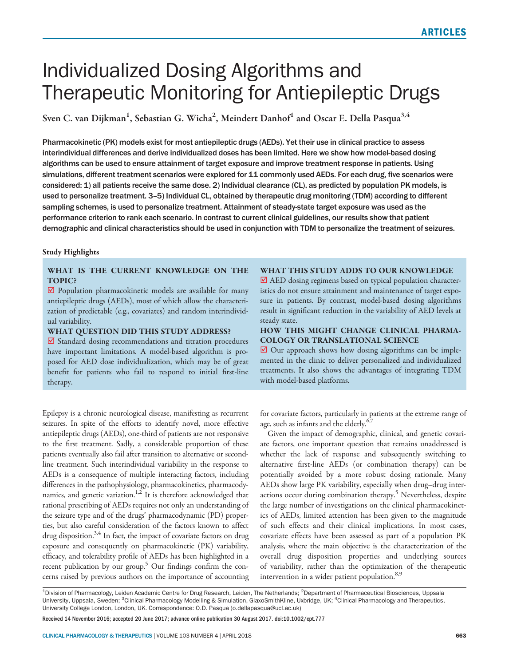# Individualized Dosing Algorithms and Therapeutic Monitoring for Antiepileptic Drugs

Sven C. van Dijkman $^1$ , Sebastian G. Wicha $^2$ , Meindert Danhof $^1$  and Oscar E. Della Pasqua $^{3,4}$ 

Pharmacokinetic (PK) models exist for most antiepileptic drugs (AEDs). Yet their use in clinical practice to assess interindividual differences and derive individualized doses has been limited. Here we show how model-based dosing algorithms can be used to ensure attainment of target exposure and improve treatment response in patients. Using simulations, different treatment scenarios were explored for 11 commonly used AEDs. For each drug, five scenarios were considered: 1) all patients receive the same dose. 2) Individual clearance (CL), as predicted by population PK models, is used to personalize treatment. 3–5) Individual CL, obtained by therapeutic drug monitoring (TDM) according to different sampling schemes, is used to personalize treatment. Attainment of steady-state target exposure was used as the performance criterion to rank each scenario. In contrast to current clinical guidelines, our results show that patient demographic and clinical characteristics should be used in conjunction with TDM to personalize the treatment of seizures.

# Study Highlights

# WHAT IS THE CURRENT KNOWLEDGE ON THE TOPIC?

 $⊓$  Population pharmacokinetic models are available for many antiepileptic drugs (AEDs), most of which allow the characterization of predictable (e.g., covariates) and random interindividual variability.

## WHAT QUESTION DID THIS STUDY ADDRESS?

 $⊓$  Standard dosing recommendations and titration procedures have important limitations. A model-based algorithm is proposed for AED dose individualization, which may be of great benefit for patients who fail to respond to initial first-line therapy.

Epilepsy is a chronic neurological disease, manifesting as recurrent seizures. In spite of the efforts to identify novel, more effective antiepileptic drugs (AEDs), one-third of patients are not responsive to the first treatment. Sadly, a considerable proportion of these patients eventually also fail after transition to alternative or secondline treatment. Such interindividual variability in the response to AEDs is a consequence of multiple interacting factors, including differences in the pathophysiology, pharmacokinetics, pharmacodynamics, and genetic variation.<sup>1,2</sup> It is therefore acknowledged that rational prescribing of AEDs requires not only an understanding of the seizure type and of the drugs' pharmacodynamic (PD) properties, but also careful consideration of the factors known to affect drug disposition. $3,4$  In fact, the impact of covariate factors on drug exposure and consequently on pharmacokinetic (PK) variability, efficacy, and tolerability profile of AEDs has been highlighted in a recent publication by our group.<sup>5</sup> Our findings confirm the concerns raised by previous authors on the importance of accounting

## WHAT THIS STUDY ADDS TO OUR KNOWLEDGE

■ AED dosing regimens based on typical population characteristics do not ensure attainment and maintenance of target exposure in patients. By contrast, model-based dosing algorithms result in significant reduction in the variability of AED levels at steady state.

# HOW THIS MIGHT CHANGE CLINICAL PHARMA-COLOGY OR TRANSLATIONAL SCIENCE

⊠ Our approach shows how dosing algorithms can be implemented in the clinic to deliver personalized and individualized treatments. It also shows the advantages of integrating TDM with model-based platforms.

for covariate factors, particularly in patients at the extreme range of age, such as infants and the elderly.<sup>6,7</sup>

Given the impact of demographic, clinical, and genetic covariate factors, one important question that remains unaddressed is whether the lack of response and subsequently switching to alternative first-line AEDs (or combination therapy) can be potentially avoided by a more robust dosing rationale. Many AEDs show large PK variability, especially when drug–drug interactions occur during combination therapy.<sup>5</sup> Nevertheless, despite the large number of investigations on the clinical pharmacokinetics of AEDs, limited attention has been given to the magnitude of such effects and their clinical implications. In most cases, covariate effects have been assessed as part of a population PK analysis, where the main objective is the characterization of the overall drug disposition properties and underlying sources of variability, rather than the optimization of the therapeutic intervention in a wider patient population.<sup>8,9</sup>

Received 14 November 2016; accepted 20 June 2017; advance online publication 30 August 2017. doi:10.1002/cpt.777

<sup>&</sup>lt;sup>1</sup>Division of Pharmacology, Leiden Academic Centre for Drug Research, Leiden, The Netherlands; <sup>2</sup>Department of Pharmaceutical Biosciences, Uppsala University, Uppsala, Sweden; <sup>3</sup>Clinical Pharmacology Modelling & Simulation, GlaxoSmithKline, Uxbridge, UK; <sup>4</sup>Clinical Pharmacology and Therapeutics, University College London, London, UK. Correspondence: O.D. Pasqua (o.dellapasqua@ucl.ac.uk)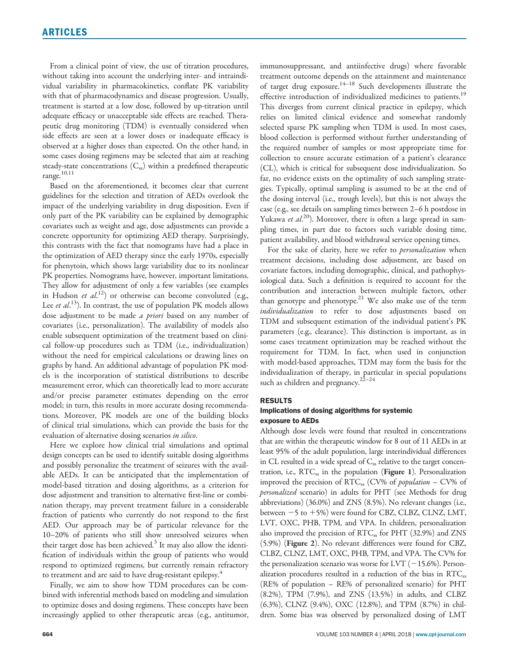From a clinical point of view, the use of titration procedures, without taking into account the underlying inter- and intraindividual variability in pharmacokinetics, conflate PK variability with that of pharmacodynamics and disease progression. Usually, treatment is started at a low dose, followed by up-titration until adequate efficacy or unacceptable side effects are reached. Therapeutic drug monitoring (TDM) is eventually considered when side effects are seen at a lower doses or inadequate efficacy is observed at a higher doses than expected. On the other hand, in some cases dosing regimens may be selected that aim at reaching steady-state concentrations  $(C_{ss})$  within a predefined therapeutic range.10,11

Based on the aforementioned, it becomes clear that current guidelines for the selection and titration of AEDs overlook the impact of the underlying variability in drug disposition. Even if only part of the PK variability can be explained by demographic covariates such as weight and age, dose adjustments can provide a concrete opportunity for optimizing AED therapy. Surprisingly, this contrasts with the fact that nomograms have had a place in the optimization of AED therapy since the early 1970s, especially for phenytoin, which shows large variability due to its nonlinear PK properties. Nomograms have, however, important limitations. They allow for adjustment of only a few variables (see examples in Hudson et  $al^{(12)}$  or otherwise can become convoluted (e.g., Lee et al.<sup>13</sup>). In contrast, the use of population PK models allows dose adjustment to be made a priori based on any number of covariates (i.e., personalization). The availability of models also enable subsequent optimization of the treatment based on clinical follow-up procedures such as TDM (i.e., individualization) without the need for empirical calculations or drawing lines on graphs by hand. An additional advantage of population PK models is the incorporation of statistical distributions to describe measurement error, which can theoretically lead to more accurate and/or precise parameter estimates depending on the error model; in turn, this results in more accurate dosing recommendations. Moreover, PK models are one of the building blocks of clinical trial simulations, which can provide the basis for the evaluation of alternative dosing scenarios in silico.

Here we explore how clinical trial simulations and optimal design concepts can be used to identify suitable dosing algorithms and possibly personalize the treatment of seizures with the available AEDs. It can be anticipated that the implementation of model-based titration and dosing algorithms, as a criterion for dose adjustment and transition to alternative first-line or combination therapy, may prevent treatment failure in a considerable fraction of patients who currently do not respond to the first AED. Our approach may be of particular relevance for the 10–20% of patients who still show unresolved seizures when their target dose has been achieved. $3$  It may also allow the identification of individuals within the group of patients who would respond to optimized regimens, but currently remain refractory to treatment and are said to have drug-resistant epilepsy.<sup>4</sup>

Finally, we aim to show how TDM procedures can be combined with inferential methods based on modeling and simulation to optimize doses and dosing regimens. These concepts have been increasingly applied to other therapeutic areas (e.g., antitumor, immunosuppressant, and antiinfective drugs) where favorable treatment outcome depends on the attainment and maintenance of target drug exposure.14–18 Such developments illustrate the effective introduction of individualized medicines to patients.<sup>19</sup> This diverges from current clinical practice in epilepsy, which relies on limited clinical evidence and somewhat randomly selected sparse PK sampling when TDM is used. In most cases, blood collection is performed without further understanding of the required number of samples or most appropriate time for collection to ensure accurate estimation of a patient's clearance (CL), which is critical for subsequent dose individualization. So far, no evidence exists on the optimality of such sampling strategies. Typically, optimal sampling is assumed to be at the end of the dosing interval (i.e., trough levels), but this is not always the case (e.g., see details on sampling times between 2–6 h postdose in Yukawa et al.<sup>20</sup>). Moreover, there is often a large spread in sampling times, in part due to factors such variable dosing time, patient availability, and blood withdrawal service opening times.

For the sake of clarity, here we refer to *personalization* when treatment decisions, including dose adjustment, are based on covariate factors, including demographic, clinical, and pathophysiological data. Such a definition is required to account for the contribution and interaction between multiple factors, other than genotype and phenotype.<sup>21</sup> We also make use of the term individualization to refer to dose adjustments based on TDM and subsequent estimation of the individual patient's PK parameters (e.g., clearance). This distinction is important, as in some cases treatment optimization may be reached without the requirement for TDM. In fact, when used in conjunction with model-based approaches, TDM may form the basis for the individualization of therapy, in particular in special populations such as children and pregnancy. $22-24$ 

### RESULTS

## Implications of dosing algorithms for systemic exposure to AEDs

Although dose levels were found that resulted in concentrations that are within the therapeutic window for 8 out of 11 AEDs in at least 95% of the adult population, large interindividual differences in CL resulted in a wide spread of  $C_{ss}$  relative to the target concentration, i.e.,  $RTC_{ss}$  in the population (**Figure 1**). Personalization improved the precision of  $RTC_{ss}$  (CV% of *population* – CV% of personalized scenario) in adults for PHT (see Methods for drug abbreviations) (36.0%) and ZNS (8.5%). No relevant changes (i.e., between  $-5$  to  $+5\%$ ) were found for CBZ, CLBZ, CLNZ, LMT, LVT, OXC, PHB, TPM, and VPA. In children, personalization also improved the precision of RTC<sub>ss</sub> for PHT (32.9%) and ZNS (5.9%) (Figure 2). No relevant differences were found for CBZ, CLBZ, CLNZ, LMT, OXC, PHB, TPM, and VPA. The CV% for the personalization scenario was worse for LVT  $(-15.6%)$ . Personalization procedures resulted in a reduction of the bias in RTC<sub>ss</sub> (RE% of population – RE% of personalized scenario) for PHT (8.2%), TPM (7.9%), and ZNS (13.5%) in adults, and CLBZ (6.3%), CLNZ (9.4%), OXC (12.8%), and TPM (8.7%) in children. Some bias was observed by personalized dosing of LMT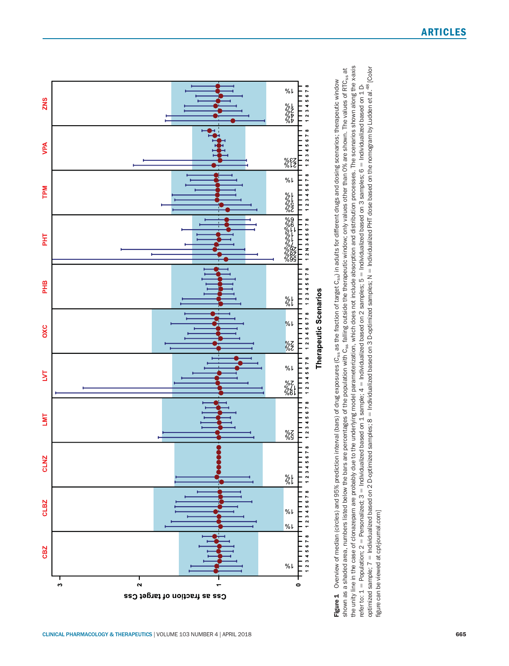

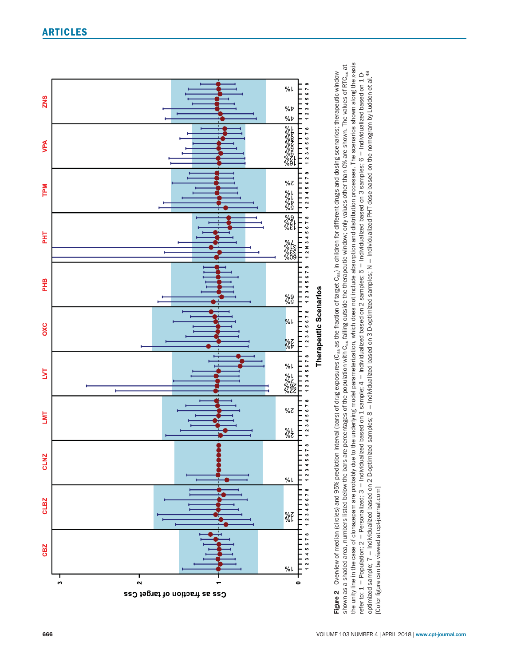

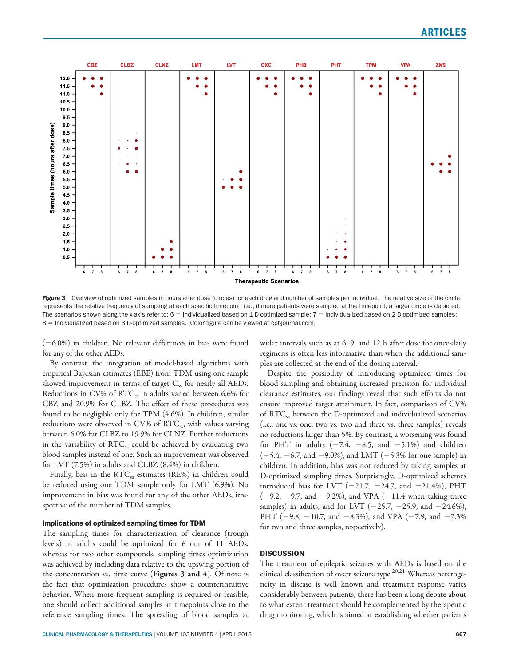

Figure 3 Overview of optimized samples in hours after dose (circles) for each drug and number of samples per individual. The relative size of the circle represents the relative frequency of sampling at each specific timepoint, i.e., if more patients were sampled at the timepoint, a larger circle is depicted. The scenarios shown along the x-axis refer to:  $6 =$  Individualized based on 1 D-optimized sample;  $7 =$  Individualized based on 2 D-optimized samples; 8 = Individualized based on 3 D-optimized samples. [Color figure can be viewed at [cpt-journal.com](http://cpt-journal.com)]

 $(-6.0%)$  in children. No relevant differences in bias were found for any of the other AEDs.

By contrast, the integration of model-based algorithms with empirical Bayesian estimates (EBE) from TDM using one sample showed improvement in terms of target  $C_{ss}$  for nearly all AEDs. Reductions in CV% of RTC<sub>ss</sub> in adults varied between 6.6% for CBZ and 20.9% for CLBZ. The effect of these procedures was found to be negligible only for TPM (4.6%). In children, similar reductions were observed in CV% of RTC<sub>ss</sub>, with values varying between 6.0% for CLBZ to 19.9% for CLNZ. Further reductions in the variability of RTC<sub>ss</sub> could be achieved by evaluating two blood samples instead of one. Such an improvement was observed for LVT (7.5%) in adults and CLBZ (8.4%) in children.

Finally, bias in the RTC<sub>ss</sub> estimates (RE%) in children could be reduced using one TDM sample only for LMT (6.9%). No improvement in bias was found for any of the other AEDs, irrespective of the number of TDM samples.

## Implications of optimized sampling times for TDM

The sampling times for characterization of clearance (trough levels) in adults could be optimized for 6 out of 11 AEDs, whereas for two other compounds, sampling times optimization was achieved by including data relative to the upswing portion of the concentration vs. time curve (Figures 3 and 4). Of note is the fact that optimization procedures show a counterintuitive behavior. When more frequent sampling is required or feasible, one should collect additional samples at timepoints close to the reference sampling times. The spreading of blood samples at wider intervals such as at 6, 9, and 12 h after dose for once-daily regimens is often less informative than when the additional samples are collected at the end of the dosing interval.

Despite the possibility of introducing optimized times for blood sampling and obtaining increased precision for individual clearance estimates, our findings reveal that such efforts do not ensure improved target attainment. In fact, comparison of CV% of RTC<sub>ss</sub> between the D-optimized and individualized scenarios (i.e., one vs. one, two vs. two and three vs. three samples) reveals no reductions larger than 5%. By contrast, a worsening was found for PHT in adults  $(-7.4, -8.5, \text{ and } -5.1\%)$  and children  $(-5.4, -6.7, \text{ and } -9.0\%)$ , and LMT (-5.3% for one sample) in children. In addition, bias was not reduced by taking samples at D-optimized sampling times. Surprisingly, D-optimized schemes introduced bias for LVT  $(-21.7, -24.7, \text{ and } -21.4\%)$ , PHT  $(-9.2, -9.7, \text{ and } -9.2\%)$ , and VPA  $(-11.4 \text{ when taking three})$ samples) in adults, and for LVT  $(-25.7, -25.9, \text{ and } -24.6\%),$ PHT ( $-9.8$ ,  $-10.7$ , and  $-8.3%$ ), and VPA ( $-7.9$ , and  $-7.3%$ for two and three samples, respectively).

# **DISCUSSION**

The treatment of epileptic seizures with AEDs is based on the clinical classification of overt seizure type.<sup>20,21</sup> Whereas heterogeneity in disease is well known and treatment response varies considerably between patients, there has been a long debate about to what extent treatment should be complemented by therapeutic drug monitoring, which is aimed at establishing whether patients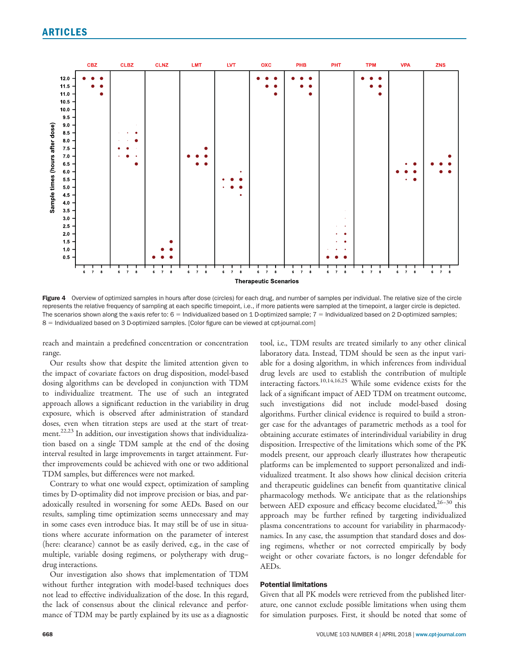

Figure 4 Overview of optimized samples in hours after dose (circles) for each drug, and number of samples per individual. The relative size of the circle represents the relative frequency of sampling at each specific timepoint, i.e., if more patients were sampled at the timepoint, a larger circle is depicted. The scenarios shown along the x-axis refer to:  $6 =$  Individualized based on 1 D-optimized sample;  $7 =$  Individualized based on 2 D-optimized samples; 8 = Individualized based on 3 D-optimized samples. [Color figure can be viewed at [cpt-journal.com](http://cpt-journal.com)]

reach and maintain a predefined concentration or concentration range.

Our results show that despite the limited attention given to the impact of covariate factors on drug disposition, model-based dosing algorithms can be developed in conjunction with TDM to individualize treatment. The use of such an integrated approach allows a significant reduction in the variability in drug exposure, which is observed after administration of standard doses, even when titration steps are used at the start of treatment.<sup>22,23</sup> In addition, our investigation shows that individualization based on a single TDM sample at the end of the dosing interval resulted in large improvements in target attainment. Further improvements could be achieved with one or two additional TDM samples, but differences were not marked.

Contrary to what one would expect, optimization of sampling times by D-optimality did not improve precision or bias, and paradoxically resulted in worsening for some AEDs. Based on our results, sampling time optimization seems unnecessary and may in some cases even introduce bias. It may still be of use in situations where accurate information on the parameter of interest (here: clearance) cannot be as easily derived, e.g., in the case of multiple, variable dosing regimens, or polytherapy with drug– drug interactions.

Our investigation also shows that implementation of TDM without further integration with model-based techniques does not lead to effective individualization of the dose. In this regard, the lack of consensus about the clinical relevance and performance of TDM may be partly explained by its use as a diagnostic tool, i.e., TDM results are treated similarly to any other clinical laboratory data. Instead, TDM should be seen as the input variable for a dosing algorithm, in which inferences from individual drug levels are used to establish the contribution of multiple interacting factors.10,14,16,25 While some evidence exists for the lack of a significant impact of AED TDM on treatment outcome, such investigations did not include model-based dosing algorithms. Further clinical evidence is required to build a stronger case for the advantages of parametric methods as a tool for obtaining accurate estimates of interindividual variability in drug disposition. Irrespective of the limitations which some of the PK models present, our approach clearly illustrates how therapeutic platforms can be implemented to support personalized and individualized treatment. It also shows how clinical decision criteria and therapeutic guidelines can benefit from quantitative clinical pharmacology methods. We anticipate that as the relationships between AED exposure and efficacy become elucidated,<sup>26-30</sup> this approach may be further refined by targeting individualized plasma concentrations to account for variability in pharmacodynamics. In any case, the assumption that standard doses and dosing regimens, whether or not corrected empirically by body weight or other covariate factors, is no longer defendable for AEDs.

# Potential limitations

Given that all PK models were retrieved from the published literature, one cannot exclude possible limitations when using them for simulation purposes. First, it should be noted that some of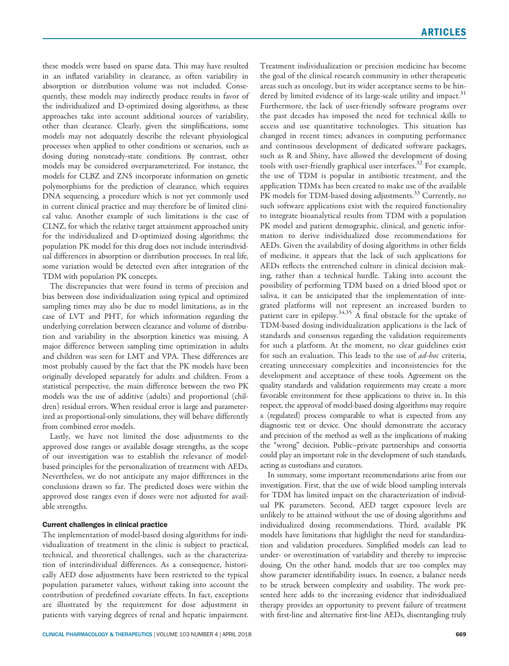these models were based on sparse data. This may have resulted in an inflated variability in clearance, as often variability in absorption or distribution volume was not included. Consequently, these models may indirectly produce results in favor of the individualized and D-optimized dosing algorithms, as these approaches take into account additional sources of variability, other than clearance. Clearly, given the simplifications, some models may not adequately describe the relevant physiological processes when applied to other conditions or scenarios, such as dosing during nonsteady-state conditions. By contrast, other models may be considered overparameterized. For instance, the models for CLBZ and ZNS incorporate information on genetic polymorphisms for the prediction of clearance, which requires DNA sequencing, a procedure which is not yet commonly used in current clinical practice and may therefore be of limited clinical value. Another example of such limitations is the case of CLNZ, for which the relative target attainment approached unity for the individualized and D-optimized dosing algorithms; the population PK model for this drug does not include interindividual differences in absorption or distribution processes. In real life, some variation would be detected even after integration of the TDM with population PK concepts.

The discrepancies that were found in terms of precision and bias between dose individualization using typical and optimized sampling times may also be due to model limitations, as in the case of LVT and PHT, for which information regarding the underlying correlation between clearance and volume of distribution and variability in the absorption kinetics was missing. A major difference between sampling time optimization in adults and children was seen for LMT and VPA. These differences are most probably caused by the fact that the PK models have been originally developed separately for adults and children. From a statistical perspective, the main difference between the two PK models was the use of additive (adults) and proportional (children) residual errors. When residual error is large and parameterized as proportional-only simulations, they will behave differently from combined error models.

Lastly, we have not limited the dose adjustments to the approved dose ranges or available dosage strengths, as the scope of our investigation was to establish the relevance of modelbased principles for the personalization of treatment with AEDs. Nevertheless, we do not anticipate any major differences in the conclusions drawn so far. The predicted doses were within the approved dose ranges even if doses were not adjusted for available strengths.

# Current challenges in clinical practice

The implementation of model-based dosing algorithms for individualization of treatment in the clinic is subject to practical, technical, and theoretical challenges, such as the characterization of interindividual differences. As a consequence, historically AED dose adjustments have been restricted to the typical population parameter values, without taking into account the contribution of predefined covariate effects. In fact, exceptions are illustrated by the requirement for dose adjustment in patients with varying degrees of renal and hepatic impairment. Treatment individualization or precision medicine has become the goal of the clinical research community in other therapeutic areas such as oncology, but its wider acceptance seems to be hindered by limited evidence of its large-scale utility and impact.<sup>31</sup> Furthermore, the lack of user-friendly software programs over the past decades has imposed the need for technical skills to access and use quantitative technologies. This situation has changed in recent times; advances in computing performance and continuous development of dedicated software packages, such as R and Shiny, have allowed the development of dosing tools with user-friendly graphical user interfaces.<sup>32</sup> For example, the use of TDM is popular in antibiotic treatment, and the application TDMx has been created to make use of the available PK models for TDM-based dosing adjustments.<sup>33</sup> Currently, no such software applications exist with the required functionality to integrate bioanalytical results from TDM with a population PK model and patient demographic, clinical, and genetic information to derive individualized dose recommendations for AEDs. Given the availability of dosing algorithms in other fields of medicine, it appears that the lack of such applications for AEDs reflects the entrenched culture in clinical decision making, rather than a technical hurdle. Taking into account the possibility of performing TDM based on a dried blood spot or saliva, it can be anticipated that the implementation of integrated platforms will not represent an increased burden to patient care in epilepsy.<sup>34,35</sup> A final obstacle for the uptake of TDM-based dosing individualization applications is the lack of standards and consensus regarding the validation requirements for such a platform. At the moment, no clear guidelines exist for such an evaluation. This leads to the use of ad-hoc criteria, creating unnecessary complexities and inconsistencies for the development and acceptance of these tools. Agreement on the quality standards and validation requirements may create a more favorable environment for these applications to thrive in. In this respect, the approval of model-based dosing algorithms may require a (regulated) process comparable to what is expected from any diagnostic test or device. One should demonstrate the accuracy and precision of the method as well as the implications of making the "wrong" decision. Public–private partnerships and consortia could play an important role in the development of such standards, acting as custodians and curators.

In summary, some important recommendations arise from our investigation. First, that the use of wide blood sampling intervals for TDM has limited impact on the characterization of individual PK parameters. Second, AED target exposure levels are unlikely to be attained without the use of dosing algorithms and individualized dosing recommendations. Third, available PK models have limitations that highlight the need for standardization and validation procedures. Simplified models can lead to under- or overestimation of variability and thereby to imprecise dosing. On the other hand, models that are too complex may show parameter identifiability issues. In essence, a balance needs to be struck between complexity and usability. The work presented here adds to the increasing evidence that individualized therapy provides an opportunity to prevent failure of treatment with first-line and alternative first-line AEDs, disentangling truly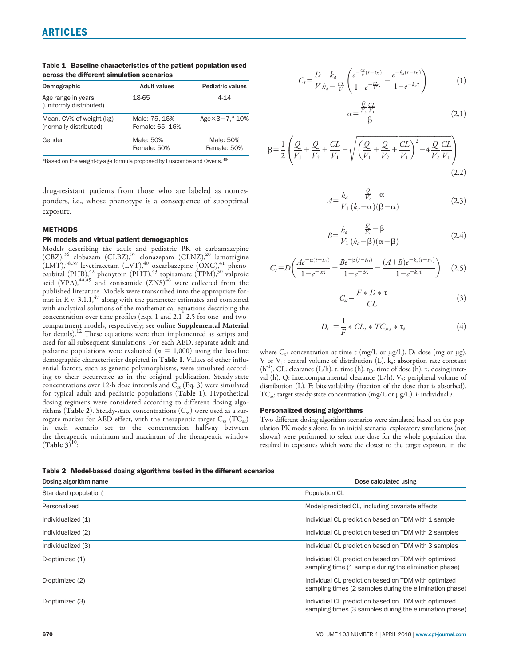| Demographic                                        | <b>Adult values</b>              | <b>Pediatric values</b>    |  |
|----------------------------------------------------|----------------------------------|----------------------------|--|
| Age range in years<br>(uniformly distributed)      | 18-65                            | 4-14                       |  |
| Mean, CV% of weight (kg)<br>(normally distributed) | Male: 75, 16%<br>Female: 65, 16% | Age $\times$ 3+7, $^a$ 10% |  |
| Gender                                             | Male: 50%<br>Female: 50%         | Male: 50%<br>Female: 50%   |  |

Table 1 Baseline characteristics of the patient population used across the different simulation scenarios

<sup>a</sup>Based on the weight-by-age formula proposed by Luscombe and Owens.<sup>49</sup>

drug-resistant patients from those who are labeled as nonresponders, i.e., whose phenotype is a consequence of suboptimal exposure.

#### **METHODS**

#### PK models and virtual patient demographics

Models describing the adult and pediatric PK of carbamazepine (CBZ),<sup>36</sup> clobazam (CLBZ),<sup>37</sup> clonazepam (CLNZ),<sup>20</sup> lamotrigine  $(LMT),^{38,39}$  levetiracetam  $(LVT),^{40}$  oxcarbazepine  $(OXC),^{41}$  phenobarbital (PHB), $^{42}$  phenytoin (PHT), $^{43}$  topiramate (TPM), $^{30}$  valproic acid (VPA), $44.45$  and zonisamide  $(ZNS)^{46}$  were collected from the published literature. Models were transcribed into the appropriate format in R v.  $3.1.1$ ,  $47$  along with the parameter estimates and combined with analytical solutions of the mathematical equations describing the concentration over time profiles (Eqs. 1 and 2.1–2.5 for one- and twocompartment models, respectively; see online Supplemental Material for details).<sup>12</sup> These equations were then implemented as scripts and used for all subsequent simulations. For each AED, separate adult and pediatric populations were evaluated ( $n = 1,000$ ) using the baseline demographic characteristics depicted in Table 1. Values of other influential factors, such as genetic polymorphisms, were simulated according to their occurrence as in the original publication. Steady-state concentrations over 12-h dose intervals and  $C_{ss}$  (Eq. 3) were simulated for typical adult and pediatric populations (Table 1). Hypothetical dosing regimens were considered according to different dosing algorithms (Table 2). Steady-state concentrations  $(C_{ss})$  were used as a surrogate marker for AED effect, with the therapeutic target  $C_{ss}$  (T $C_{ss}$ ) in each scenario set to the concentration halfway between the therapeutic minimum and maximum of the therapeutic window  $(Table 3)^{10}$ :

$$
C_{t} = \frac{D}{V} \frac{k_{a}}{k_{a} - \frac{CL}{V}} \left( \frac{e^{-\frac{CL}{V}(t - t_{D})}}{1 - e^{-\frac{CL}{V}\tau}} - \frac{e^{-k_{a}(t - t_{D})}}{1 - e^{-k_{a}\tau}} \right)
$$
(1)

$$
\alpha = \frac{\frac{Q}{V_2} \frac{CL}{V_1}}{\beta} \tag{2.1}
$$

$$
\beta = \frac{1}{2} \left( \frac{Q}{V_1} + \frac{Q}{V_2} + \frac{CL}{V_1} - \sqrt{\left( \frac{Q}{V_1} + \frac{Q}{V_2} + \frac{CL}{V_1} \right)^2 - 4 \frac{Q}{V_2} \frac{CL}{V_1}} \right)
$$
(2.2)

$$
A = \frac{k_a}{V_1} \frac{\frac{Q}{V_2} - \alpha}{(k_a - \alpha)(\beta - \alpha)}
$$
(2.3)

$$
B = \frac{k_a}{V_1} \frac{\frac{Q}{V_2} - \beta}{(k_a - \beta)(\alpha - \beta)}
$$
(2.4)

$$
C_t = D\left(\frac{Ae^{-\alpha(t-t_D)}}{1-e^{-\alpha\tau}} + \frac{Be^{-\beta(t-t_D)}}{1-e^{-\beta\tau}} - \frac{(A+B)e^{-k_a(t-t_D)}}{1-e^{-k_a\tau}}\right) \quad (2.5)
$$

$$
C_{\rm s} = \frac{F \ast D \ast \tau}{CL} \tag{3}
$$

$$
D_i = \frac{1}{F} * CL_i * TC_{s,i} * \tau_i
$$
\n<sup>(4)</sup>

where  $C_t$ : concentration at time t (mg/L or  $\mu$ g/L). D: dose (mg or  $\mu$ g). V or  $V_1$ : central volume of distribution (L).  $k_a$ : absorption rate constant  $(h^{-1})$ . CL: clearance (L/h). t: time (h). t<sub>D</sub>: time of dose (h).  $\tau$ : dosing interval (h). Q: intercompartmental clearance (L/h).  $V_2$ : peripheral volume of distribution (L). F: bioavailability (fraction of the dose that is absorbed). TC<sub>ss</sub>: target steady-state concentration (mg/L or  $\mu$ g/L). i: individual *i*.

#### Personalized dosing algorithms

Two different dosing algorithm scenarios were simulated based on the population PK models alone. In an initial scenario, exploratory simulations (not shown) were performed to select one dose for the whole population that resulted in exposures which were the closest to the target exposure in the

Table 2 Model-based dosing algorithms tested in the different scenarios

| Dosing algorithm name | Dose calculated using                                                                                           |  |
|-----------------------|-----------------------------------------------------------------------------------------------------------------|--|
| Standard (population) | Population CL                                                                                                   |  |
| Personalized          | Model-predicted CL, including covariate effects                                                                 |  |
| Individualized (1)    | Individual CL prediction based on TDM with 1 sample                                                             |  |
| Individualized (2)    | Individual CL prediction based on TDM with 2 samples                                                            |  |
| Individualized (3)    | Individual CL prediction based on TDM with 3 samples                                                            |  |
| D-optimized (1)       | Individual CL prediction based on TDM with optimized<br>sampling time (1 sample during the elimination phase)   |  |
| D-optimized (2)       | Individual CL prediction based on TDM with optimized<br>sampling times (2 samples during the elimination phase) |  |
| D-optimized (3)       | Individual CL prediction based on TDM with optimized<br>sampling times (3 samples during the elimination phase) |  |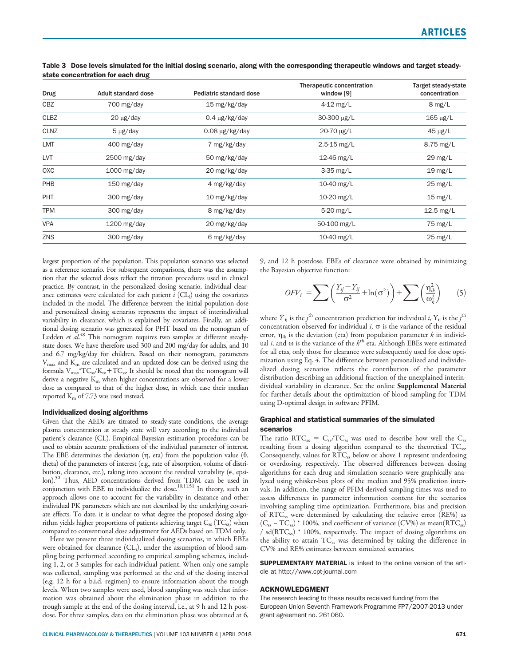| Adult standard dose      | Pediatric standard dose | Therapeutic concentration<br>window [9] | <b>Target steady-state</b><br>concentration |
|--------------------------|-------------------------|-----------------------------------------|---------------------------------------------|
| 700 mg/day               | 15 mg/kg/day            | $4-12$ mg/L                             | $8 \text{ mg/L}$                            |
| $20 \mu g / day$         | $0.4 \mu g/kg/day$      | 30-300 µg/L                             | $165 \mu g/L$                               |
| $5 \mu g / day$          | $0.08 \mu g/kg/day$     | 20-70 µg/L                              | 45 μg/L                                     |
| 400 mg/day               | 7 mg/kg/day             | $2.5 - 15$ mg/L                         | $8.75$ mg/L                                 |
| 2500 mg/day              | 50 mg/kg/day            | 12-46 mg/L                              | $29 \text{ mg/L}$                           |
| $1000 \,\mathrm{mg/day}$ | 20 mg/kg/day            | $3-35$ mg/L                             | $19 \text{ mg/L}$                           |
| $150 \text{ mg/day}$     | 4 mg/kg/day             | 10-40 mg/L                              | $25 \text{ mg/L}$                           |
| 300 mg/day               | 10 mg/kg/day            | 10-20 mg/L                              | $15 \text{ mg/L}$                           |
| 300 mg/day               | 8 mg/kg/day             | 5-20 mg/L                               | $12.5$ mg/L                                 |
| $1200$ mg/day            | 20 mg/kg/day            | 50-100 mg/L                             | 75 mg/L                                     |
| 300 mg/day               | 6 mg/kg/day             | 10-40 mg/L                              | $25 \text{ mg/L}$                           |
|                          |                         |                                         |                                             |

Table 3 Dose levels simulated for the initial dosing scenario, along with the corresponding therapeutic windows and target steadystate concentration for each drug

largest proportion of the population. This population scenario was selected as a reference scenario. For subsequent comparisons, there was the assumption that the selected doses reflect the titration procedures used in clinical practice. By contrast, in the personalized dosing scenario, individual clearance estimates were calculated for each patient  $i$  (CL<sub>i</sub>) using the covariates included in the model. The difference between the initial population dose and personalized dosing scenarios represents the impact of interindividual variability in clearance, which is explained by covariates. Finally, an additional dosing scenario was generated for PHT based on the nomogram of Ludden et al.<sup>48</sup> This nomogram requires two samples at different steadystate doses. We have therefore used 300 and 200 mg/day for adults, and 10 and 6.7 mg/kg/day for children. Based on their nomogram, parameters  $V_{\text{max}}$  and  $K_{\text{m}}$  are calculated and an updated dose can be derived using the formula  $V_{\text{max}}$ <sup>\*</sup>TC<sub>ss</sub>/K<sub>m</sub>+TC<sub>ss</sub>. It should be noted that the nomogram will derive a negative  $K<sub>m</sub>$  when higher concentrations are observed for a lower dose as compared to that of the higher dose, in which case their median reported  $K<sub>m</sub>$  of 7.73 was used instead.

#### Individualized dosing algorithms

Given that the AEDs are titrated to steady-state conditions, the average plasma concentration at steady state will vary according to the individual patient's clearance (CL). Empirical Bayesian estimation procedures can be used to obtain accurate predictions of the individual parameter of interest. The EBE determines the deviation  $(\eta, \text{eta})$  from the population value  $(\theta, \theta)$ theta) of the parameters of interest (e.g., rate of absorption, volume of distribution, clearance, etc.), taking into account the residual variability  $(\epsilon, e$  epsilon).50 Thus, AED concentrations derived from TDM can be used in conjunction with EBE to individualize the dose.<sup>10,11,51</sup> In theory, such an approach allows one to account for the variability in clearance and other individual PK parameters which are not described by the underlying covariate effects. To date, it is unclear to what degree the proposed dosing algorithm yields higher proportions of patients achieving target  $C_{ss}$  (TC<sub>ss</sub>) when compared to conventional dose adjustment for AEDs based on TDM only.

Here we present three individualized dosing scenarios, in which EBEs were obtained for clearance (CL<sub>i</sub>), under the assumption of blood sampling being performed according to empirical sampling schemes, including 1, 2, or 3 samples for each individual patient. When only one sample was collected, sampling was performed at the end of the dosing interval (e.g. 12 h for a b.i.d. regimen) to ensure information about the trough levels. When two samples were used, blood sampling was such that information was obtained about the elimination phase in addition to the trough sample at the end of the dosing interval, i.e., at 9 h and 12 h postdose. For three samples, data on the elimination phase was obtained at 6, 9, and 12 h postdose. EBEs of clearance were obtained by minimizing the Bayesian objective function:

$$
OFV_i = \sum \left(\frac{\bar{Y}_{ij} - Y_{ij}}{\sigma^2} + \ln(\sigma^2)\right) + \sum \left(\frac{\eta_{ik}^2}{\omega_k^2}\right) \tag{5}
$$

where  $\bar{\overline{Y}}_{\text{ij}}$  is the  $j^{\text{th}}$  concentration prediction for individual  $i$ ,  $\overline{Y}_{\text{ij}}$  is the  $j^{\text{th}}$ concentration observed for individual  $i$ ,  $\sigma$  is the variance of the residual error,  $\eta_{ik}$  is the deviation (eta) from population parameter k in individual *i*, and  $\omega$  is the variance of the  $k^{\text{th}}$  eta. Although EBEs were estimated for all etas, only those for clearance were subsequently used for dose optimization using Eq. 4. The difference between personalized and individualized dosing scenarios reflects the contribution of the parameter distribution describing an additional fraction of the unexplained interindividual variability in clearance. See the online Supplemental Material for further details about the optimization of blood sampling for TDM using D-optimal design in software PFIM.

## Graphical and statistical summaries of the simulated scenarios

The ratio  $RTC_{ss} = C_{ss}/TC_{ss}$  was used to describe how well the  $C_{ss}$ resulting from a dosing algorithm compared to the theoretical  $TC_{ss}$ . Consequently, values for  $\widetilde{\text{RTC}}_{ss}$  below or above 1 represent underdosing or overdosing, respectively. The observed differences between dosing algorithms for each drug and simulation scenario were graphically analyzed using whisker-box plots of the median and 95% prediction intervals. In addition, the range of PFIM-derived sampling times was used to assess differences in parameter information content for the scenarios involving sampling time optimization. Furthermore, bias and precision of RTC<sub>ss</sub> were determined by calculating the relative error (RE%) as  $(C_{ss} - TC_{ss})$  \* 100%, and coefficient of variance  $(CV\%)$  as mean $(RTC_{ss})$ /  $sd(RTC_{ss})$  \* 100%, respectively. The impact of dosing algorithms on the ability to attain TC<sub>ss</sub> was determined by taking the difference in CV% and RE% estimates between simulated scenarios.

SUPPLEMENTARY MATERIAL is linked to the online version of the article at<http://www.cpt-journal.com>

#### ACKNOWLEDGMENT

The research leading to these results received funding from the European Union Seventh Framework Programme FP7/2007-2013 under grant agreement no. 261060.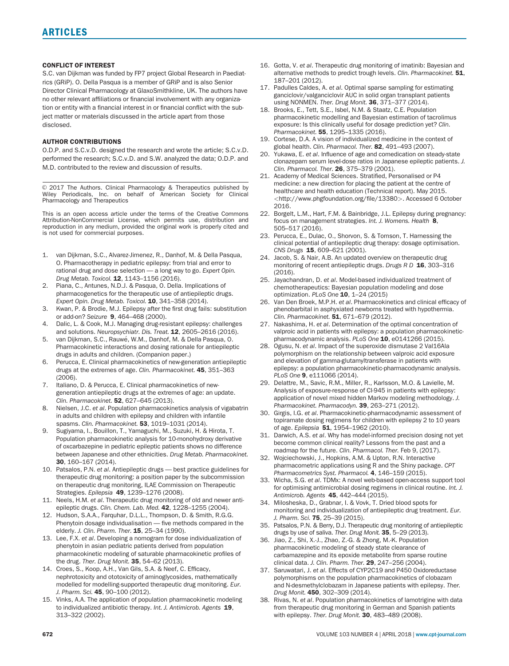## CONFLICT OF INTEREST

S.C. van Dijkman was funded by FP7 project Global Research in Paediatrics (GRiP). O. Della Pasqua is a member of GRiP and is also Senior Director Clinical Pharmacology at GlaxoSmithkline, UK. The authors have no other relevant affiliations or financial involvement with any organization or entity with a financial interest in or financial conflict with the subject matter or materials discussed in the article apart from those disclosed.

#### AUTHOR CONTRIBUTIONS

O.D.P. and S.C.v.D. designed the research and wrote the article; S.C.v.D. performed the research; S.C.v.D. and S.W. analyzed the data; O.D.P. and M.D. contributed to the review and discussion of results.

© 2017 The Authors. Clinical Pharmacology & Therapeutics published by Wiley Periodicals, Inc. on behalf of American Society for Clinical Pharmacology and Therapeutics

This is an open access article under the terms of the [Creative Commons](http://creativecommons.org/licenses/by-nc/4.0/) [Attribution-NonCommercial](http://creativecommons.org/licenses/by-nc/4.0/) License, which permits use, distribution and reproduction in any medium, provided the original work is properly cited and is not used for commercial purposes.

- 1. van Dijkman, S.C., Alvarez-Jimenez, R., Danhof, M. & Della Pasqua, O. Pharmacotherapy in pediatric epilepsy: from trial and error to rational drug and dose selection — a long way to go. Expert Opin. Drug Metab. Toxicol. **12**, 1143-1156 (2016).
- 2. Piana, C., Antunes, N.D.J. & Pasqua, O. Della. Implications of pharmacogenetics for the therapeutic use of antiepileptic drugs. Expert Opin. Drug Metab. Toxicol. 10, 341-358 (2014).
- 3. Kwan, P. & Brodie, M.J. Epilepsy after the first drug fails: substitution or add-on? Seizure 9, 464-468 (2000).
- 4. Dalic, L. & Cook, M.J. Managing drug-resistant epilepsy: challenges and solutions. Neuropsychiatr. Dis. Treat. 12, 2605-2616 (2016).
- 5. van Dijkman, S.C., Rauwé, W.M., Danhof, M. & Della Pasqua, O. Pharmacokinetic interactions and dosing rationale for antiepileptic drugs in adults and children. (Companion paper.)
- 6. Perucca, E. Clinical pharmacokinetics of new-generation antiepileptic drugs at the extremes of age. Clin. Pharmacokinet. 45, 351-363 (2006).
- 7. Italiano, D. & Perucca, E. Clinical pharmacokinetics of newgeneration antiepileptic drugs at the extremes of age: an update. Clin. Pharmacokinet. 52, 627–645 (2013).
- 8. Nielsen, J.C. et al. Population pharmacokinetics analysis of vigabatrin in adults and children with epilepsy and children with infantile spasms. Clin. Pharmacokinet. 53, 1019-1031 (2014).
- 9. Sugiyama, I., Bouillon, T., Yamaguchi, M., Suzuki, H. & Hirota, T. Population pharmacokinetic analysis for 10-monohydroxy derivative of oxcarbazepine in pediatric epileptic patients shows no difference between Japanese and other ethnicities. Drug Metab. Pharmacokinet. 30, 160–167 (2014).
- 10. Patsalos, P.N. et al. Antiepileptic drugs best practice guidelines for therapeutic drug monitoring: a position paper by the subcommission on therapeutic drug monitoring, ILAE Commission on Therapeutic Strategies. Epilepsia 49, 1239–1276 (2008).
- 11. Neels, H.M. et al. Therapeutic drug monitoring of old and newer antiepileptic drugs. Clin. Chem. Lab. Med. 42, 1228-1255 (2004).
- 12. Hudson, S.A.A., Farquhar, D.L.L., Thompson, D. & Smith, R.G.G. Phenytoin dosage individualisation — five methods compared in the elderly. J. Clin. Pharm. Ther. **15**, 25-34 (1990).
- 13. Lee, F.X. et al. Developing a nomogram for dose individualization of phenytoin in asian pediatric patients derived from population pharmacokinetic modeling of saturable pharmacokinetic profiles of the drug. Ther. Drug Monit. 35, 54-62 (2013).
- 14. Croes, S., Koop, A.H., Van Gils, S.A. & Neef, C. Efficacy, nephrotoxicity and ototoxicity of aminoglycosides, mathematically modelled for modelling-supported therapeutic drug monitoring. Eur. J. Pharm. Sci. 45, 90-100 (2012).
- 15. Vinks, A.A. The application of population pharmacokinetic modeling to individualized antibiotic therapy. Int. J. Antimicrob. Agents 19, 313–322 (2002).
- 16. Gotta, V. et al. Therapeutic drug monitoring of imatinib: Bayesian and alternative methods to predict trough levels. Clin. Pharmacokinet. 51, 187–201 (2012).
- 17. Padulles Caldes, A. et al. Optimal sparse sampling for estimating ganciclovir/valganciclovir AUC in solid organ transplant patients using NONMEN. Ther. Drug Monit. 36, 371–377 (2014).
- 18. Brooks, E., Tett, S.E., Isbel, N.M. & Staatz, C.E. Population pharmacokinetic modelling and Bayesian estimation of tacrolimus exposure: Is this clinically useful for dosage prediction yet? Clin. Pharmacokinet. 55, 1295–1335 (2016).
- 19. Cortese, D.A. A vision of individualized medicine in the context of global health. Clin. Pharmacol. Ther. 82, 491-493 (2007).
- 20. Yukawa, E. et al. Influence of age and comedication on steady-state clonazepam serum level-dose ratios in Japanese epileptic patients. J. Clin. Pharmacol. Ther. 26, 375–379 (2001).
- 21. Academy of Medical Sciences. Stratified, Personalised or P4 medicine: a new direction for placing the patient at the centre of healthcare and health education (Technical report). May 2015. <<http://www.phgfoundation.org/file/13380>>. Accessed 6 October 2016.
- 22. Borgelt, L.M., Hart, F.M. & Bainbridge, J.L. Epilepsy during pregnancy: focus on management strategies. Int. J. Womens. Health 8, 505–517 (2016).
- 23. Perucca, E., Dulac, O., Shorvon, S. & Tomson, T. Harnessing the clinical potential of antiepileptic drug therapy: dosage optimisation. CNS Drugs 15, 609–621 (2001).
- 24. Jacob, S. & Nair, A.B. An updated overview on therapeutic drug monitoring of recent antiepileptic drugs. Drugs R D 16, 303-316 (2016).
- 25. Jayachandran, D. et al. Model-based individualized treatment of chemotherapeutics: Bayesian population modeling and dose optimization. PLoS One **10**, 1-24 (2015)
- 26. Van Den Broek, M.P.H. et al. Pharmacokinetics and clinical efficacy of phenobarbital in asphyxiated newborns treated with hypothermia. Clin. Pharmacokinet. 51, 671-679 (2012).
- 27. Nakashima, H. et al. Determination of the optimal concentration of valproic acid in patients with epilepsy: a population pharmacokineticpharmacodynamic analysis. PLoS One 10, e0141266 (2015).
- 28. Ogusu, N. et al. Impact of the superoxide dismutase 2 Val16Ala polymorphism on the relationship between valproic acid exposure and elevation of gamma-glutamyltransferase in patients with epilepsy: a population pharmacokinetic-pharmacodynamic analysis. PLoS One 9, e111066 (2014).
- 29. Delattre, M., Savic, R.M., Miller, R., Karlsson, M.O. & Lavielle, M. Analysis of exposure-response of CI-945 in patients with epilepsy: application of novel mixed hidden Markov modeling methodology. J. Pharmacokinet. Pharmacodyn. 39, 263-271 (2012).
- 30. Girgis, I.G. et al. Pharmacokinetic-pharmacodynamic assessment of topiramate dosing regimens for children with epilepsy 2 to 10 years of age. Epilepsia 51, 1954-1962 (2010).
- 31. Darwich, A.S. et al. Why has model-informed precision dosing not yet become common clinical reality? Lessons from the past and a roadmap for the future. Clin. Pharmacol. Ther. Feb 9, (2017).
- 32. Wojciechowski, J., Hopkins, A.M. & Upton, R.N. Interactive pharmacometric applications using R and the Shiny package. CPT Pharmacometrics Syst. Pharmacol. 4, 146–159 (2015).
- 33. Wicha, S.G. et al. TDMx: A novel web-based open-access support tool for optimising antimicrobial dosing regimens in clinical routine. Int. J. Antimicrob. Agents 45, 442–444 (2015).
- 34. Milosheska, D., Grabnar, I. & Vovk, T. Dried blood spots for monitoring and individualization of antiepileptic drug treatment. Eur. J. Pharm. Sci. 75. 25-39 (2015).
- 35. Patsalos, P.N. & Berry, D.J. Therapeutic drug monitoring of antiepileptic drugs by use of saliva. Ther. Drug Monit. 35, 5–29 (2013).
- 36. Jiao, Z., Shi, X.-J., Zhao, Z.-G. & Zhong, M.-K. Population pharmacokinetic modeling of steady state clearance of carbamazepine and its epoxide metabolite from sparse routine clinical data. J. Clin. Pharm. Ther. 29, 247–256 (2004).
- 37. Saruwatari, J. et al. Effects of CYP2C19 and P450 Oxidoreductase polymorphisms on the population pharmacokinetics of clobazam and N-desmethylclobazam in Japanese patients with epilepsy. Ther. Drug Monit. 450, 302–309 (2014).
- 38. Rivas, N. et al. Population pharmacokinetics of lamotrigine with data from therapeutic drug monitoring in German and Spanish patients with epilepsy. Ther. Drug Monit. 30, 483-489 (2008).